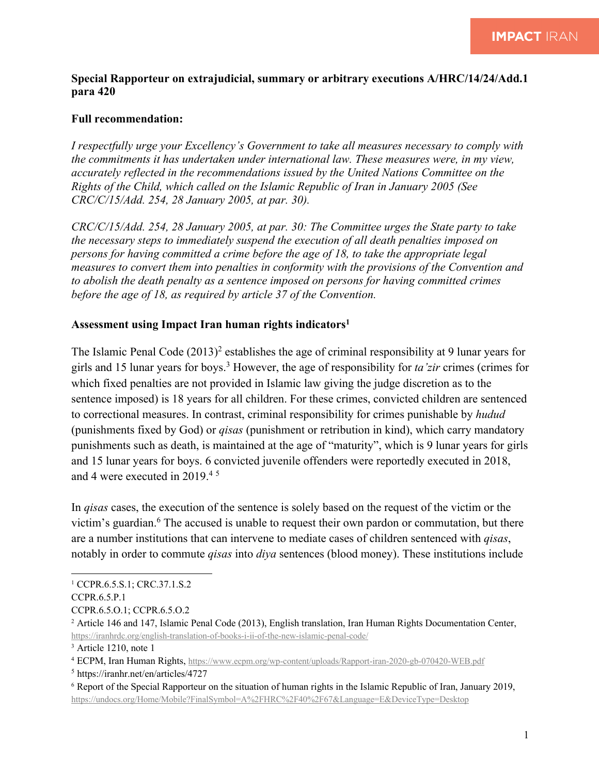## **Special Rapporteur on extrajudicial, summary or arbitrary executions A/HRC/14/24/Add.1 para 420**

## **Full recommendation:**

*I respectfully urge your Excellency's Government to take all measures necessary to comply with the commitments it has undertaken under international law. These measures were, in my view, accurately reflected in the recommendations issued by the United Nations Committee on the Rights of the Child, which called on the Islamic Republic of Iran in January 2005 (See CRC/C/15/Add. 254, 28 January 2005, at par. 30).*

*CRC/C/15/Add. 254, 28 January 2005, at par. 30: The Committee urges the State party to take the necessary steps to immediately suspend the execution of all death penalties imposed on persons for having committed a crime before the age of 18, to take the appropriate legal measures to convert them into penalties in conformity with the provisions of the Convention and to abolish the death penalty as a sentence imposed on persons for having committed crimes before the age of 18, as required by article 37 of the Convention.*

## **Assessment using Impact Iran human rights indicators1**

The Islamic Penal Code  $(2013)^2$  establishes the age of criminal responsibility at 9 lunar years for girls and 15 lunar years for boys.3 However, the age of responsibility for *ta'zir* crimes (crimes for which fixed penalties are not provided in Islamic law giving the judge discretion as to the sentence imposed) is 18 years for all children. For these crimes, convicted children are sentenced to correctional measures. In contrast, criminal responsibility for crimes punishable by *hudud* (punishments fixed by God) or *qisas* (punishment or retribution in kind), which carry mandatory punishments such as death, is maintained at the age of "maturity", which is 9 lunar years for girls and 15 lunar years for boys. 6 convicted juvenile offenders were reportedly executed in 2018, and 4 were executed in 2019. 4 5

In *qisas* cases, the execution of the sentence is solely based on the request of the victim or the victim's guardian.<sup>6</sup> The accused is unable to request their own pardon or commutation, but there are a number institutions that can intervene to mediate cases of children sentenced with *qisas*, notably in order to commute *qisas* into *diya* sentences (blood money). These institutions include

<sup>&</sup>lt;sup>1</sup> CCPR.6.5.S.1; CRC.37.1.S.2

CCPR.6.5.P.1

CCPR.6.5.O.1; CCPR.6.5.O.2

<sup>2</sup> Article 146 and 147, Islamic Penal Code (2013), English translation, Iran Human Rights Documentation Center, https://iranhrdc.org/english-translation-of-books-i-ii-of-the-new-islamic-penal-code/

<sup>3</sup> Article 1210, note 1

<sup>4</sup> ECPM, Iran Human Rights, https://www.ecpm.org/wp-content/uploads/Rapport-iran-2020-gb-070420-WEB.pdf

<sup>5</sup> https://iranhr.net/en/articles/4727

<sup>6</sup> Report of the Special Rapporteur on the situation of human rights in the Islamic Republic of Iran, January 2019, https://undocs.org/Home/Mobile?FinalSymbol=A%2FHRC%2F40%2F67&Language=E&DeviceType=Desktop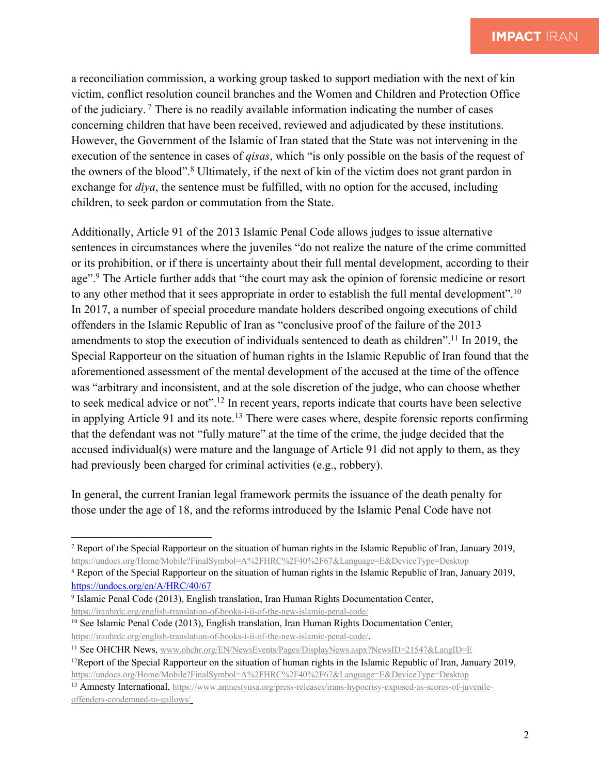a reconciliation commission, a working group tasked to support mediation with the next of kin victim, conflict resolution council branches and the Women and Children and Protection Office of the judiciary. <sup>7</sup> There is no readily available information indicating the number of cases concerning children that have been received, reviewed and adjudicated by these institutions. However, the Government of the Islamic of Iran stated that the State was not intervening in the execution of the sentence in cases of *qisas*, which "is only possible on the basis of the request of the owners of the blood".8 Ultimately, if the next of kin of the victim does not grant pardon in exchange for *diya*, the sentence must be fulfilled, with no option for the accused, including children, to seek pardon or commutation from the State.

Additionally, Article 91 of the 2013 Islamic Penal Code allows judges to issue alternative sentences in circumstances where the juveniles "do not realize the nature of the crime committed or its prohibition, or if there is uncertainty about their full mental development, according to their age".<sup>9</sup> The Article further adds that "the court may ask the opinion of forensic medicine or resort to any other method that it sees appropriate in order to establish the full mental development".10 In 2017, a number of special procedure mandate holders described ongoing executions of child offenders in the Islamic Republic of Iran as "conclusive proof of the failure of the 2013 amendments to stop the execution of individuals sentenced to death as children".<sup>11</sup> In 2019, the Special Rapporteur on the situation of human rights in the Islamic Republic of Iran found that the aforementioned assessment of the mental development of the accused at the time of the offence was "arbitrary and inconsistent, and at the sole discretion of the judge, who can choose whether to seek medical advice or not".12 In recent years, reports indicate that courts have been selective in applying Article 91 and its note.<sup>13</sup> There were cases where, despite forensic reports confirming that the defendant was not "fully mature" at the time of the crime, the judge decided that the accused individual(s) were mature and the language of Article 91 did not apply to them, as they had previously been charged for criminal activities (e.g., robbery).

In general, the current Iranian legal framework permits the issuance of the death penalty for those under the age of 18, and the reforms introduced by the Islamic Penal Code have not

<sup>7</sup> Report of the Special Rapporteur on the situation of human rights in the Islamic Republic of Iran, January 2019, https://undocs.org/Home/Mobile?FinalSymbol=A%2FHRC%2F40%2F67&Language=E&DeviceType=Desktop

<sup>8</sup> Report of the Special Rapporteur on the situation of human rights in the Islamic Republic of Iran, January 2019, https://undocs.org/en/A/HRC/40/67

<sup>9</sup> Islamic Penal Code (2013), English translation, Iran Human Rights Documentation Center, https://iranhrdc.org/english-translation-of-books-i-ii-of-the-new-islamic-penal-code/

<sup>&</sup>lt;sup>10</sup> See Islamic Penal Code (2013), English translation, Iran Human Rights Documentation Center, https://iranhrdc.org/english-translation-of-books-i-ii-of-the-new-islamic-penal-code/.

<sup>&</sup>lt;sup>11</sup> See OHCHR News, www.ohchr.org/EN/NewsEvents/Pages/DisplayNews.aspx?NewsID=21547&LangID=E

 $12$ Report of the Special Rapporteur on the situation of human rights in the Islamic Republic of Iran, January 2019,

https://undocs.org/Home/Mobile?FinalSymbol=A%2FHRC%2F40%2F67&Language=E&DeviceType=Desktop

<sup>13</sup> Amnesty International, https://www.amnestyusa.org/press-releases/irans-hypocrisy-exposed-as-scores-of-juvenileoffenders-condemned-to-gallows/